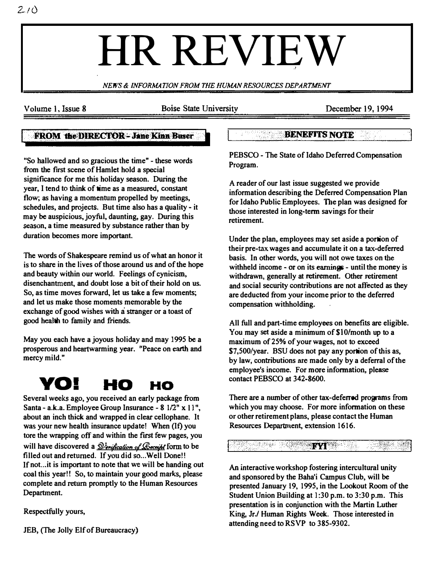# HR REVIEW

NEWS & INFORMATION FROM THE HUMAN RESOURCES DEPARTMENT

Volume 1, Issue 8 Boise State University December 19, 1994

I

#### **FROM the DIRECTOR-Jane Kinn Buser**

"So ballowed and so gracious the time" - these words from the first scene of Hamlet hold a special significance for me this holiday season. During the year, I tend to think of time as a measured, constant flow; as having a momentum propelled by meetings, schedules, and projects. But time also has a quality- it may he auspicious, joyful, daunting, gay. During this season, a time measured by substance rather than by duration becomes more important.

The words of Shakespeare remind us of what an honor it is to share in the lives of those around us and of the hope and beauty within our world. Feelings of cynicism, disenchantment, and doubt lose a bit of their hold on us. So, as time moves forward, let us take a few moments; and let us make those moments memorable by the exchange of good wishes with a stranger or a toast of good health to family and friends.

May you each have a joyous holiday and may 1995 he a prosperous and heartwarming year. "Peace on earth and mercy mild."

# YO! HO HO

Several weeks ago, you received an early package from Santa - a.k.a. Employee Group Insurance -  $8 \frac{1}{2}$ " x  $11$ ", about an inch thick and wrapped in clear cellophane. It was your new health insurance update! When (If) you tore the wrapping off and within the first few pages, you will have discovered a  $\frac{\partial \text{|} \text{Poisson of} \text{|}}{\partial \text{|}}$  form to be filled out and returned. If you did so... Well Done!! If not... it is important to note that we will be handing out coal this year!! So, to maintain your good marks, please complete and return promptly to the Human Resources Department.

Respectfully yours,

JEB, (The Jolly Elf of Bureaucracy)

#### BENEFITS NOTE

PEBSCO - The State of Idaho Deferred Compensation Program.

A reader of our last issue suggested we provide information describing the Deferred Compensation Plan for Idaho Public Employees. The plan was designed for those interested in long-term savings for their retirement.

Under the plan, employees may set aside a portion of their pre-tax wages and accumulate it on a tax-deferred basis. In other words, you will not owe taxes on the withheld income - or on its earnings - until the money is withdrawn, generally at retirement. Other retirement and social security contributions are not affected as they are deducted from your ineome prior to the deferred compensation withholding.

All full and part-time employees on benefits are eligible. You may set aside a minimum of \$10/month up to a maximum of 25% of your wages, not to exceed \$7,500/year. BSU does not pay any portion of this as, by law, contributions are made only by a deferral of the employee's income. For more information, please contact PEBSCO at 342-8600.

There are a number of other tax-deferred programs from which you may choose. For more information on these or other retirement plans, please contact the Human Resources Department, extension 1616.

**ELECTRIC STATE OF THE SECOND SECOND SECOND SECOND SECOND SECOND SECOND SECOND SECOND SECOND SECOND SECOND SECOND SECOND SECOND SECOND SECOND SECOND SECOND SECOND SECOND SECOND SECOND SECOND SECOND SECOND SECOND SECOND SEC** 

An interactive workshop fostering intercultural unity and sponsored by the Baha'i Campus Club, will he presented January 19, 1995, in the Lookout Room of the Student Union Building at 1:30 p.m. to 3:30 p.m. This presentation is in conjunction with the Martin Luther King, JrJ Human Rights Week. Those interested in attending need to RSVP to 385-9302.